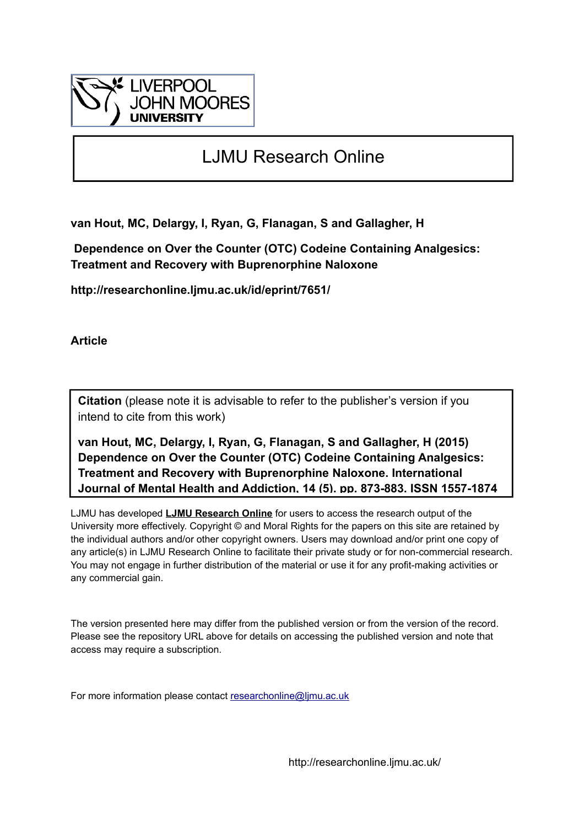

# LJMU Research Online

**van Hout, MC, Delargy, I, Ryan, G, Flanagan, S and Gallagher, H**

 **Dependence on Over the Counter (OTC) Codeine Containing Analgesics: Treatment and Recovery with Buprenorphine Naloxone**

**http://researchonline.ljmu.ac.uk/id/eprint/7651/**

**Article**

**Citation** (please note it is advisable to refer to the publisher's version if you intend to cite from this work)

**van Hout, MC, Delargy, I, Ryan, G, Flanagan, S and Gallagher, H (2015) Dependence on Over the Counter (OTC) Codeine Containing Analgesics: Treatment and Recovery with Buprenorphine Naloxone. International Journal of Mental Health and Addiction, 14 (5). pp. 873-883. ISSN 1557-1874** 

LJMU has developed **[LJMU Research Online](http://researchonline.ljmu.ac.uk/)** for users to access the research output of the University more effectively. Copyright © and Moral Rights for the papers on this site are retained by the individual authors and/or other copyright owners. Users may download and/or print one copy of any article(s) in LJMU Research Online to facilitate their private study or for non-commercial research. You may not engage in further distribution of the material or use it for any profit-making activities or any commercial gain.

The version presented here may differ from the published version or from the version of the record. Please see the repository URL above for details on accessing the published version and note that access may require a subscription.

For more information please contact [researchonline@ljmu.ac.uk](mailto:researchonline@ljmu.ac.uk)

http://researchonline.ljmu.ac.uk/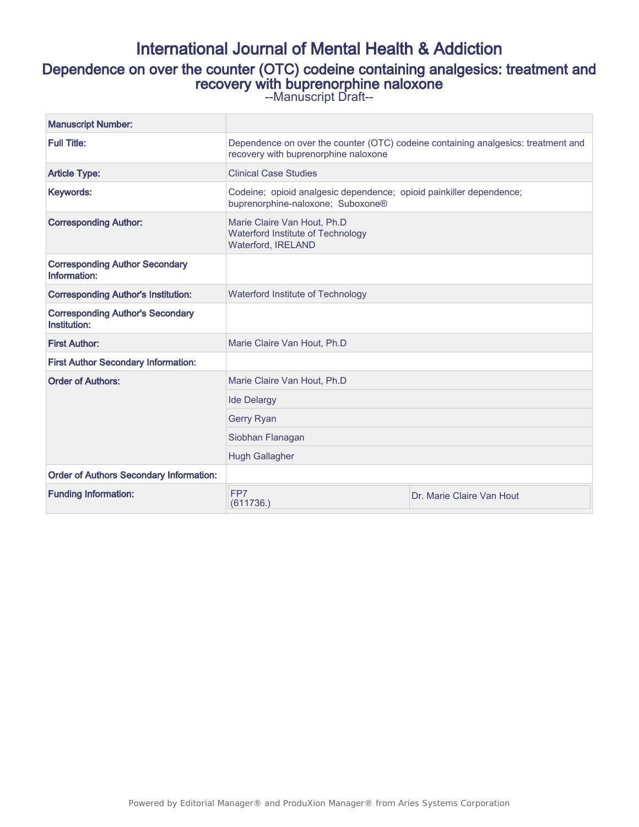# International Journal of Mental Health & Addiction Dependence on over the counter (OTC) codeine containing analgesics: treatment and recovery with buprenorphine naloxone

--Manuscript Draft--

| <b>Manuscript Number:</b>                               |                                                                                                                           |                           |
|---------------------------------------------------------|---------------------------------------------------------------------------------------------------------------------------|---------------------------|
| <b>Full Title:</b>                                      | Dependence on over the counter (OTC) codeine containing analgesics: treatment and<br>recovery with buprenorphine naloxone |                           |
| <b>Article Type:</b>                                    | <b>Clinical Case Studies</b>                                                                                              |                           |
| Keywords:                                               | Codeine; opioid analgesic dependence; opioid painkiller dependence;<br>buprenorphine-naloxone; Suboxone®                  |                           |
| <b>Corresponding Author:</b>                            | Marie Claire Van Hout, Ph.D<br>Waterford Institute of Technology<br>Waterford, IRELAND                                    |                           |
| <b>Corresponding Author Secondary</b><br>Information:   |                                                                                                                           |                           |
| <b>Corresponding Author's Institution:</b>              | Waterford Institute of Technology                                                                                         |                           |
| <b>Corresponding Author's Secondary</b><br>Institution: |                                                                                                                           |                           |
| <b>First Author:</b>                                    | Marie Claire Van Hout, Ph.D                                                                                               |                           |
| <b>First Author Secondary Information:</b>              |                                                                                                                           |                           |
| <b>Order of Authors:</b>                                | Marie Claire Van Hout, Ph.D                                                                                               |                           |
|                                                         | <b>Ide Delargy</b>                                                                                                        |                           |
|                                                         | Gerry Ryan                                                                                                                |                           |
|                                                         | Siobhan Flanagan                                                                                                          |                           |
|                                                         | Hugh Gallagher                                                                                                            |                           |
| <b>Order of Authors Secondary Information:</b>          |                                                                                                                           |                           |
| <b>Funding Information:</b>                             | FP7<br>(611736.)                                                                                                          | Dr. Marie Claire Van Hout |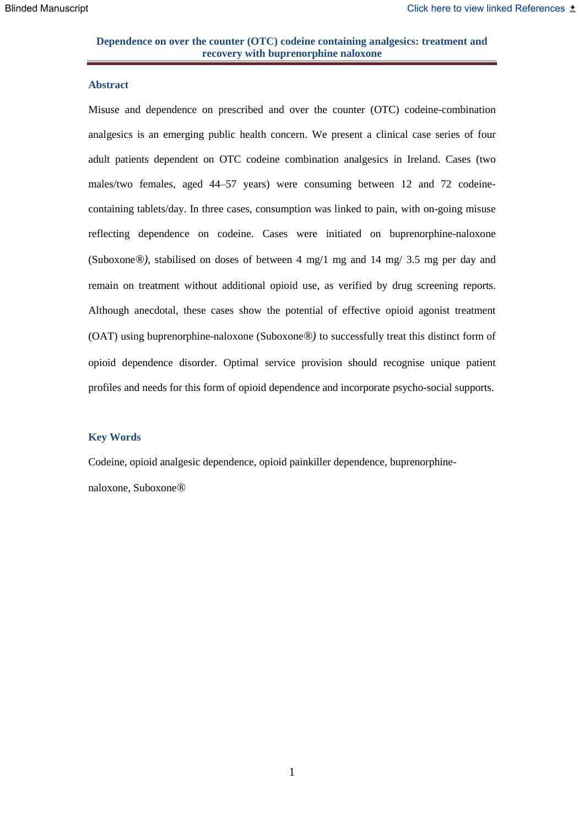#### **Abstract**

Misuse and dependence on prescribed and over the counter (OTC) codeine-combination analgesics is an emerging public health concern. We present a clinical case series of four adult patients dependent on OTC codeine combination analgesics in Ireland. Cases (two males/two females, aged 44–57 years) were consuming between 12 and 72 codeinecontaining tablets/day. In three cases, consumption was linked to pain, with on-going misuse reflecting dependence on codeine. Cases were initiated on buprenorphine-naloxone (Suboxone*®)*, stabilised on doses of between 4 mg/1 mg and 14 mg/ 3.5 mg per day and remain on treatment without additional opioid use, as verified by drug screening reports. Although anecdotal, these cases show the potential of effective opioid agonist treatment (OAT) using buprenorphine-naloxone (Suboxone*®)* to successfully treat this distinct form of opioid dependence disorder. Optimal service provision should recognise unique patient profiles and needs for this form of opioid dependence and incorporate psycho-social supports.

#### **Key Words**

Codeine, opioid analgesic dependence, opioid painkiller dependence, buprenorphine-

naloxone, Suboxone*®*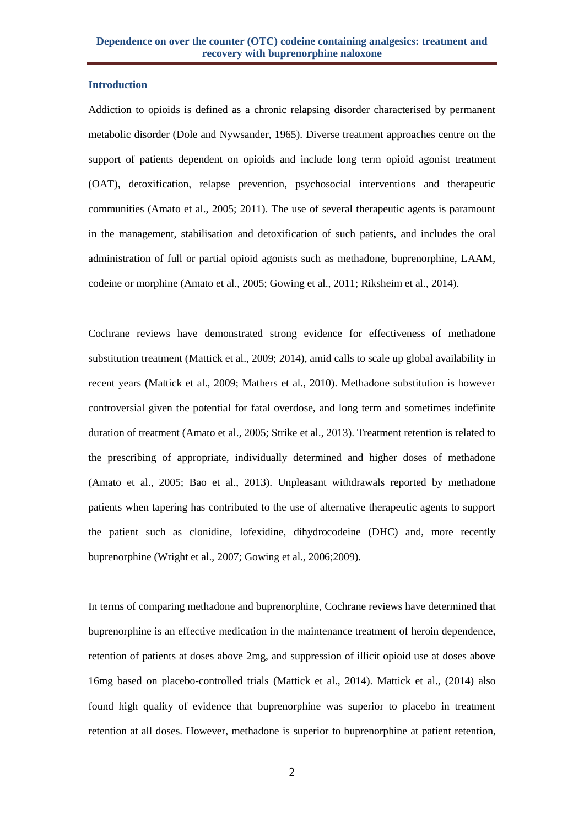#### **Introduction**

Addiction to opioids is defined as a chronic relapsing disorder characterised by permanent metabolic disorder (Dole and Nywsander, 1965). Diverse treatment approaches centre on the support of patients dependent on opioids and include long term opioid agonist treatment (OAT), detoxification, relapse prevention, psychosocial interventions and therapeutic communities (Amato et al., 2005; 2011). The use of several therapeutic agents is paramount in the management, stabilisation and detoxification of such patients, and includes the oral administration of full or partial opioid agonists such as methadone, buprenorphine, LAAM, codeine or morphine (Amato et al., 2005; Gowing et al., 2011; Riksheim et al., 2014).

Cochrane reviews have demonstrated strong evidence for effectiveness of methadone substitution treatment (Mattick et al., 2009; 2014), amid calls to scale up global availability in recent years (Mattick et al., 2009; Mathers et al., 2010). Methadone substitution is however controversial given the potential for fatal overdose, and long term and sometimes indefinite duration of treatment (Amato et al., 2005; Strike et al., 2013). Treatment retention is related to the prescribing of appropriate, individually determined and higher doses of methadone (Amato et al., 2005; Bao et al., 2013). Unpleasant withdrawals reported by methadone patients when tapering has contributed to the use of alternative therapeutic agents to support the patient such as clonidine, lofexidine, dihydrocodeine (DHC) and, more recently buprenorphine (Wright et al., 2007; Gowing et al., 2006;2009).

In terms of comparing methadone and buprenorphine, Cochrane reviews have determined that buprenorphine is an effective medication in the maintenance treatment of heroin dependence, retention of patients at doses above 2mg, and suppression of illicit opioid use at doses above 16mg based on placebo-controlled trials (Mattick et al., 2014). Mattick et al., (2014) also found high quality of evidence that buprenorphine was superior to placebo in treatment retention at all doses. However, methadone is superior to buprenorphine at patient retention,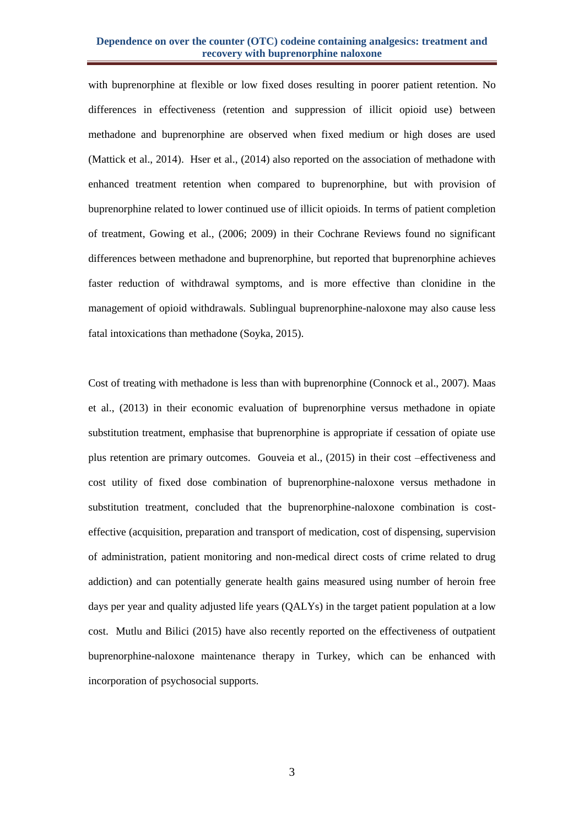with buprenorphine at flexible or low fixed doses resulting in poorer patient retention. No differences in effectiveness (retention and suppression of illicit opioid use) between methadone and buprenorphine are observed when fixed medium or high doses are used (Mattick et al., 2014). Hser et al., (2014) also reported on the association of methadone with enhanced treatment retention when compared to buprenorphine, but with provision of buprenorphine related to lower continued use of illicit opioids. In terms of patient completion of treatment, Gowing et al., (2006; 2009) in their Cochrane Reviews found no significant differences between methadone and buprenorphine, but reported that buprenorphine achieves faster reduction of withdrawal symptoms, and is more effective than clonidine in the management of opioid withdrawals. Sublingual buprenorphine-naloxone may also cause less fatal intoxications than methadone (Soyka, 2015).

Cost of treating with methadone is less than with buprenorphine (Connock et al., 2007). Maas et al., (2013) in their economic evaluation of buprenorphine versus methadone in opiate substitution treatment, emphasise that buprenorphine is appropriate if cessation of opiate use plus retention are primary outcomes. Gouveia et al., (2015) in their cost –effectiveness and cost utility of fixed dose combination of buprenorphine-naloxone versus methadone in substitution treatment, concluded that the buprenorphine-naloxone combination is costeffective (acquisition, preparation and transport of medication, cost of dispensing, supervision of administration, patient monitoring and non-medical direct costs of crime related to drug addiction) and can potentially generate health gains measured using number of heroin free days per year and quality adjusted life years (QALYs) in the target patient population at a low cost. Mutlu and Bilici (2015) have also recently reported on the effectiveness of outpatient buprenorphine-naloxone maintenance therapy in Turkey, which can be enhanced with incorporation of psychosocial supports.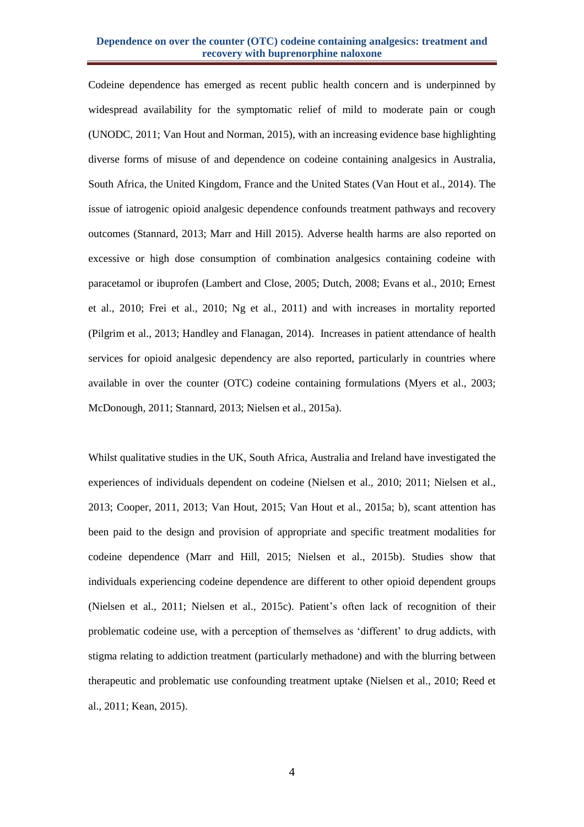Codeine dependence has emerged as recent public health concern and is underpinned by widespread availability for the symptomatic relief of mild to moderate pain or cough (UNODC, 2011; Van Hout and Norman, 2015), with an increasing evidence base highlighting diverse forms of misuse of and dependence on codeine containing analgesics in Australia, South Africa, the United Kingdom, France and the United States (Van Hout et al., 2014). The issue of iatrogenic opioid analgesic dependence confounds treatment pathways and recovery outcomes (Stannard, 2013; Marr and Hill 2015). Adverse health harms are also reported on excessive or high dose consumption of combination analgesics containing codeine with paracetamol or ibuprofen (Lambert and Close, 2005; Dutch, 2008; Evans et al., 2010; Ernest et al., 2010; Frei et al., 2010; Ng et al., 2011) and with increases in mortality reported (Pilgrim et al., 2013; Handley and Flanagan, 2014). Increases in patient attendance of health services for opioid analgesic dependency are also reported, particularly in countries where available in over the counter (OTC) codeine containing formulations (Myers et al., 2003; McDonough, 2011; Stannard, 2013; Nielsen et al., 2015a).

Whilst qualitative studies in the UK, South Africa, Australia and Ireland have investigated the experiences of individuals dependent on codeine (Nielsen et al., 2010; 2011; Nielsen et al., 2013; Cooper, 2011, 2013; Van Hout, 2015; Van Hout et al., 2015a; b), scant attention has been paid to the design and provision of appropriate and specific treatment modalities for codeine dependence (Marr and Hill, 2015; Nielsen et al., 2015b). Studies show that individuals experiencing codeine dependence are different to other opioid dependent groups (Nielsen et al., 2011; Nielsen et al., 2015c). Patient's often lack of recognition of their problematic codeine use, with a perception of themselves as 'different' to drug addicts, with stigma relating to addiction treatment (particularly methadone) and with the blurring between therapeutic and problematic use confounding treatment uptake (Nielsen et al., 2010; Reed et al., 2011; Kean, 2015).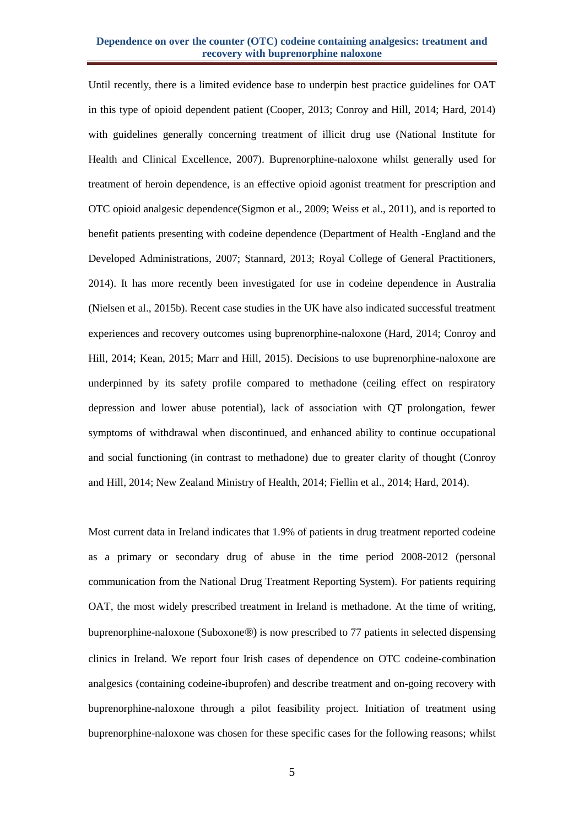Until recently, there is a limited evidence base to underpin best practice guidelines for OAT in this type of opioid dependent patient (Cooper, 2013; Conroy and Hill, 2014; Hard, 2014) with guidelines generally concerning treatment of illicit drug use (National Institute for Health and Clinical Excellence, 2007). Buprenorphine-naloxone whilst generally used for treatment of heroin dependence, is an effective opioid agonist treatment for prescription and OTC opioid analgesic dependence(Sigmon et al., 2009; Weiss et al., 2011), and is reported to benefit patients presenting with codeine dependence (Department of Health -England and the Developed Administrations, 2007; Stannard, 2013; Royal College of General Practitioners, 2014). It has more recently been investigated for use in codeine dependence in Australia (Nielsen et al., 2015b). Recent case studies in the UK have also indicated successful treatment experiences and recovery outcomes using buprenorphine-naloxone (Hard, 2014; Conroy and Hill, 2014; Kean, 2015; Marr and Hill, 2015). Decisions to use buprenorphine-naloxone are underpinned by its safety profile compared to methadone (ceiling effect on respiratory depression and lower abuse potential), lack of association with QT prolongation, fewer symptoms of withdrawal when discontinued, and enhanced ability to continue occupational and social functioning (in contrast to methadone) due to greater clarity of thought (Conroy and Hill, 2014; New Zealand Ministry of Health, 2014; Fiellin et al., 2014; Hard, 2014).

Most current data in Ireland indicates that 1.9% of patients in drug treatment reported codeine as a primary or secondary drug of abuse in the time period 2008-2012 (personal communication from the National Drug Treatment Reporting System). For patients requiring OAT, the most widely prescribed treatment in Ireland is methadone. At the time of writing, buprenorphine-naloxone (Suboxone*®*) is now prescribed to 77 patients in selected dispensing clinics in Ireland. We report four Irish cases of dependence on OTC codeine-combination analgesics (containing codeine-ibuprofen) and describe treatment and on-going recovery with buprenorphine-naloxone through a pilot feasibility project. Initiation of treatment using buprenorphine-naloxone was chosen for these specific cases for the following reasons; whilst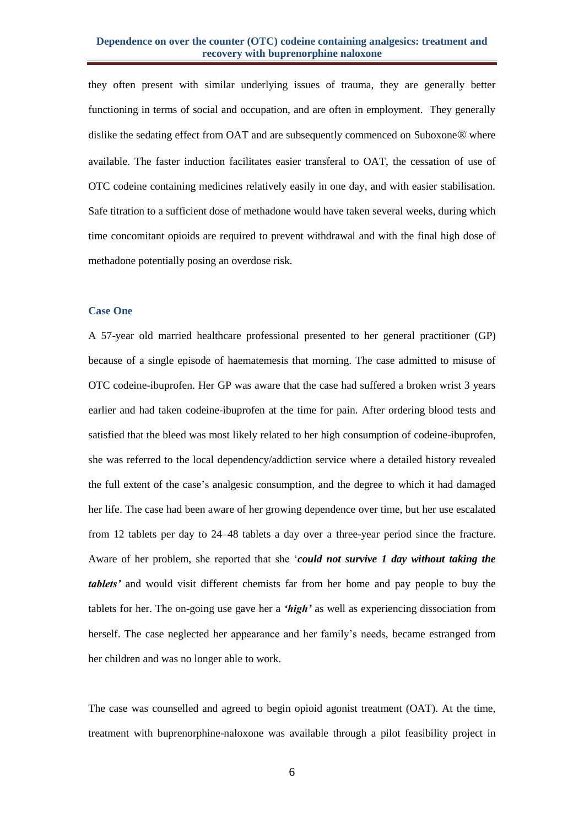they often present with similar underlying issues of trauma, they are generally better functioning in terms of social and occupation, and are often in employment. They generally dislike the sedating effect from OAT and are subsequently commenced on Suboxone*®* where available. The faster induction facilitates easier transferal to OAT, the cessation of use of OTC codeine containing medicines relatively easily in one day, and with easier stabilisation. Safe titration to a sufficient dose of methadone would have taken several weeks, during which time concomitant opioids are required to prevent withdrawal and with the final high dose of methadone potentially posing an overdose risk.

#### **Case One**

A 57-year old married healthcare professional presented to her general practitioner (GP) because of a single episode of haematemesis that morning. The case admitted to misuse of OTC codeine-ibuprofen. Her GP was aware that the case had suffered a broken wrist 3 years earlier and had taken codeine-ibuprofen at the time for pain. After ordering blood tests and satisfied that the bleed was most likely related to her high consumption of codeine-ibuprofen, she was referred to the local dependency/addiction service where a detailed history revealed the full extent of the case's analgesic consumption, and the degree to which it had damaged her life. The case had been aware of her growing dependence over time, but her use escalated from 12 tablets per day to 24–48 tablets a day over a three-year period since the fracture. Aware of her problem, she reported that she '*could not survive 1 day without taking the tablets'* and would visit different chemists far from her home and pay people to buy the tablets for her. The on-going use gave her a *'high'* as well as experiencing dissociation from herself. The case neglected her appearance and her family's needs, became estranged from her children and was no longer able to work.

The case was counselled and agreed to begin opioid agonist treatment (OAT). At the time, treatment with buprenorphine-naloxone was available through a pilot feasibility project in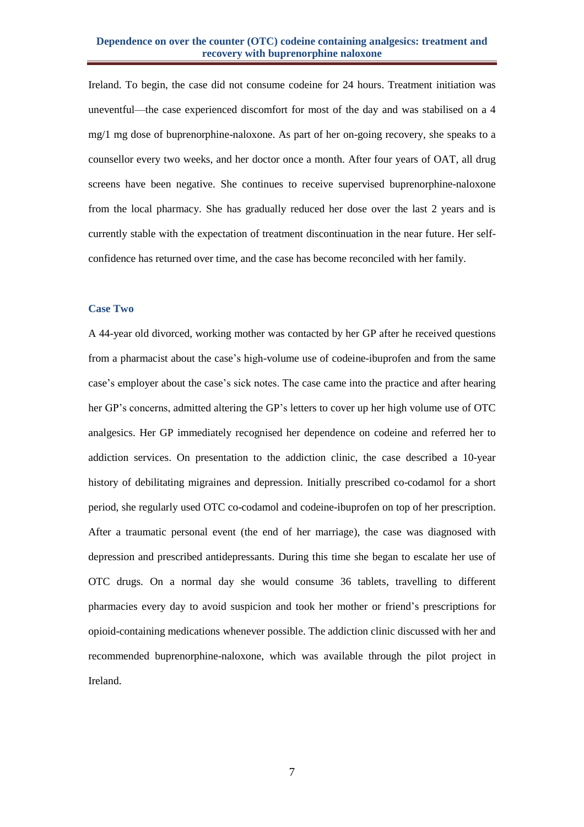Ireland. To begin, the case did not consume codeine for 24 hours. Treatment initiation was uneventful—the case experienced discomfort for most of the day and was stabilised on a 4 mg/1 mg dose of buprenorphine-naloxone. As part of her on-going recovery, she speaks to a counsellor every two weeks, and her doctor once a month. After four years of OAT, all drug screens have been negative. She continues to receive supervised buprenorphine-naloxone from the local pharmacy. She has gradually reduced her dose over the last 2 years and is currently stable with the expectation of treatment discontinuation in the near future. Her selfconfidence has returned over time, and the case has become reconciled with her family.

#### **Case Two**

A 44-year old divorced, working mother was contacted by her GP after he received questions from a pharmacist about the case's high-volume use of codeine-ibuprofen and from the same case's employer about the case's sick notes. The case came into the practice and after hearing her GP's concerns, admitted altering the GP's letters to cover up her high volume use of OTC analgesics. Her GP immediately recognised her dependence on codeine and referred her to addiction services. On presentation to the addiction clinic, the case described a 10-year history of debilitating migraines and depression. Initially prescribed co-codamol for a short period, she regularly used OTC co-codamol and codeine-ibuprofen on top of her prescription. After a traumatic personal event (the end of her marriage), the case was diagnosed with depression and prescribed antidepressants. During this time she began to escalate her use of OTC drugs. On a normal day she would consume 36 tablets, travelling to different pharmacies every day to avoid suspicion and took her mother or friend's prescriptions for opioid-containing medications whenever possible. The addiction clinic discussed with her and recommended buprenorphine-naloxone, which was available through the pilot project in Ireland.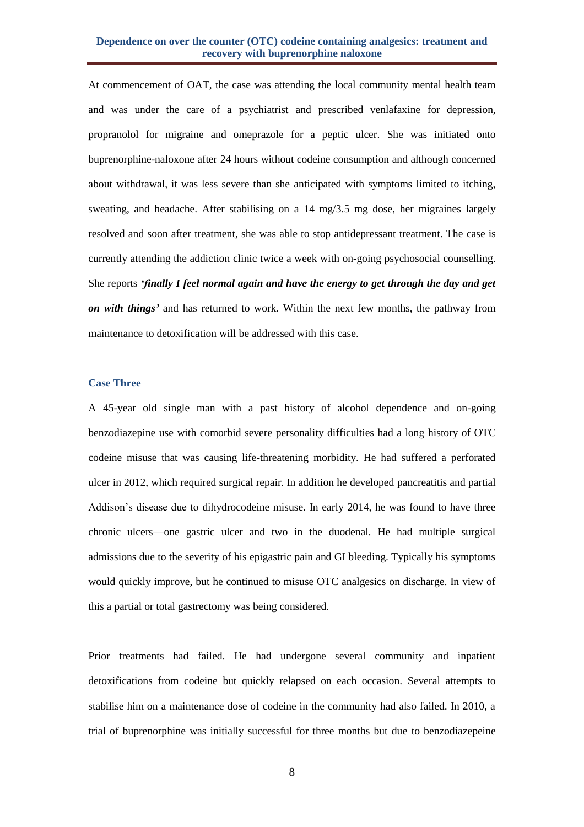At commencement of OAT, the case was attending the local community mental health team and was under the care of a psychiatrist and prescribed venlafaxine for depression, propranolol for migraine and omeprazole for a peptic ulcer. She was initiated onto buprenorphine-naloxone after 24 hours without codeine consumption and although concerned about withdrawal, it was less severe than she anticipated with symptoms limited to itching, sweating, and headache. After stabilising on a 14 mg/3.5 mg dose, her migraines largely resolved and soon after treatment, she was able to stop antidepressant treatment. The case is currently attending the addiction clinic twice a week with on-going psychosocial counselling. She reports *'finally I feel normal again and have the energy to get through the day and get on with things'* and has returned to work. Within the next few months, the pathway from maintenance to detoxification will be addressed with this case.

#### **Case Three**

A 45-year old single man with a past history of alcohol dependence and on-going benzodiazepine use with comorbid severe personality difficulties had a long history of OTC codeine misuse that was causing life-threatening morbidity. He had suffered a perforated ulcer in 2012, which required surgical repair. In addition he developed pancreatitis and partial Addison's disease due to dihydrocodeine misuse. In early 2014, he was found to have three chronic ulcers—one gastric ulcer and two in the duodenal. He had multiple surgical admissions due to the severity of his epigastric pain and GI bleeding. Typically his symptoms would quickly improve, but he continued to misuse OTC analgesics on discharge. In view of this a partial or total gastrectomy was being considered.

Prior treatments had failed. He had undergone several community and inpatient detoxifications from codeine but quickly relapsed on each occasion. Several attempts to stabilise him on a maintenance dose of codeine in the community had also failed. In 2010, a trial of buprenorphine was initially successful for three months but due to benzodiazepeine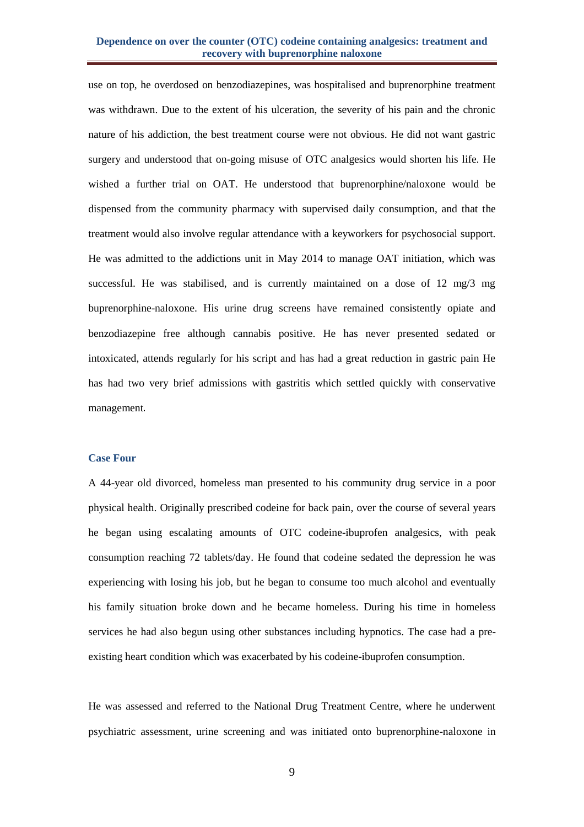use on top, he overdosed on benzodiazepines, was hospitalised and buprenorphine treatment was withdrawn. Due to the extent of his ulceration, the severity of his pain and the chronic nature of his addiction, the best treatment course were not obvious. He did not want gastric surgery and understood that on-going misuse of OTC analgesics would shorten his life. He wished a further trial on OAT. He understood that buprenorphine/naloxone would be dispensed from the community pharmacy with supervised daily consumption, and that the treatment would also involve regular attendance with a keyworkers for psychosocial support. He was admitted to the addictions unit in May 2014 to manage OAT initiation, which was successful. He was stabilised, and is currently maintained on a dose of 12 mg/3 mg buprenorphine-naloxone. His urine drug screens have remained consistently opiate and benzodiazepine free although cannabis positive. He has never presented sedated or intoxicated, attends regularly for his script and has had a great reduction in gastric pain He has had two very brief admissions with gastritis which settled quickly with conservative management.

#### **Case Four**

A 44-year old divorced, homeless man presented to his community drug service in a poor physical health. Originally prescribed codeine for back pain, over the course of several years he began using escalating amounts of OTC codeine-ibuprofen analgesics, with peak consumption reaching 72 tablets/day. He found that codeine sedated the depression he was experiencing with losing his job, but he began to consume too much alcohol and eventually his family situation broke down and he became homeless. During his time in homeless services he had also begun using other substances including hypnotics. The case had a preexisting heart condition which was exacerbated by his codeine-ibuprofen consumption.

He was assessed and referred to the National Drug Treatment Centre, where he underwent psychiatric assessment, urine screening and was initiated onto buprenorphine-naloxone in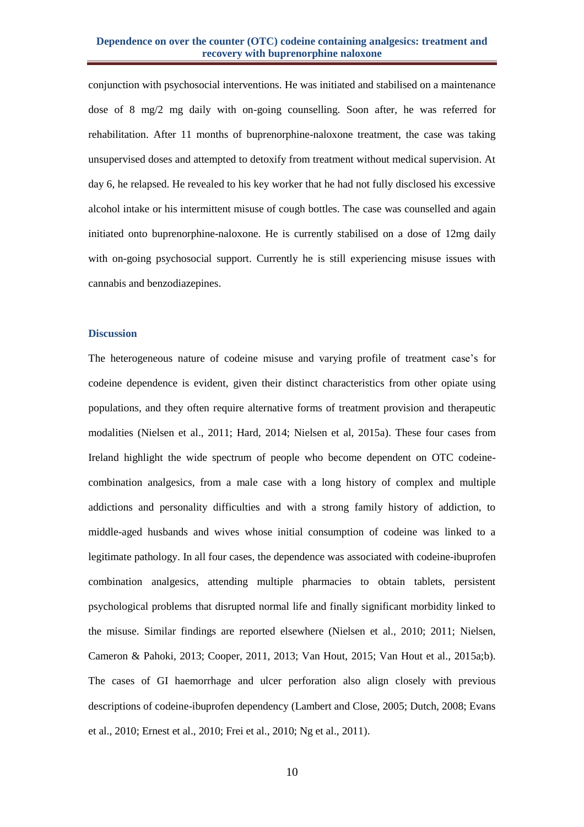conjunction with psychosocial interventions. He was initiated and stabilised on a maintenance dose of 8 mg/2 mg daily with on-going counselling. Soon after, he was referred for rehabilitation. After 11 months of buprenorphine-naloxone treatment, the case was taking unsupervised doses and attempted to detoxify from treatment without medical supervision. At day 6, he relapsed. He revealed to his key worker that he had not fully disclosed his excessive alcohol intake or his intermittent misuse of cough bottles. The case was counselled and again initiated onto buprenorphine-naloxone. He is currently stabilised on a dose of 12mg daily with on-going psychosocial support. Currently he is still experiencing misuse issues with cannabis and benzodiazepines.

#### **Discussion**

The heterogeneous nature of codeine misuse and varying profile of treatment case's for codeine dependence is evident, given their distinct characteristics from other opiate using populations, and they often require alternative forms of treatment provision and therapeutic modalities (Nielsen et al., 2011; Hard, 2014; Nielsen et al, 2015a). These four cases from Ireland highlight the wide spectrum of people who become dependent on OTC codeinecombination analgesics, from a male case with a long history of complex and multiple addictions and personality difficulties and with a strong family history of addiction, to middle-aged husbands and wives whose initial consumption of codeine was linked to a legitimate pathology. In all four cases, the dependence was associated with codeine-ibuprofen combination analgesics, attending multiple pharmacies to obtain tablets, persistent psychological problems that disrupted normal life and finally significant morbidity linked to the misuse. Similar findings are reported elsewhere (Nielsen et al., 2010; 2011; Nielsen, Cameron & Pahoki, 2013; Cooper, 2011, 2013; Van Hout, 2015; Van Hout et al., 2015a;b). The cases of GI haemorrhage and ulcer perforation also align closely with previous descriptions of codeine-ibuprofen dependency (Lambert and Close, 2005; Dutch, 2008; Evans et al., 2010; Ernest et al., 2010; Frei et al., 2010; Ng et al., 2011).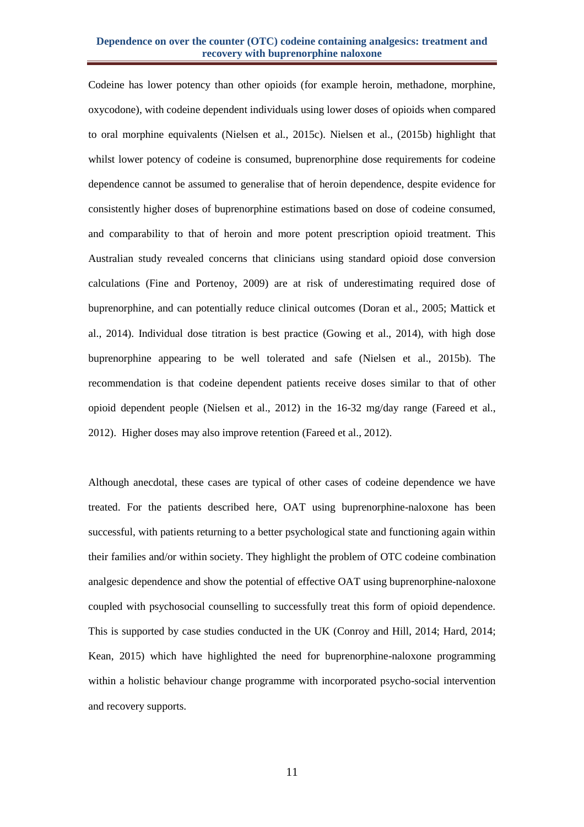Codeine has lower potency than other opioids (for example heroin, methadone, morphine, oxycodone), with codeine dependent individuals using lower doses of opioids when compared to oral morphine equivalents (Nielsen et al., 2015c). Nielsen et al., (2015b) highlight that whilst lower potency of codeine is consumed, buprenorphine dose requirements for codeine dependence cannot be assumed to generalise that of heroin dependence, despite evidence for consistently higher doses of buprenorphine estimations based on dose of codeine consumed, and comparability to that of heroin and more potent prescription opioid treatment. This Australian study revealed concerns that clinicians using standard opioid dose conversion calculations (Fine and Portenoy, 2009) are at risk of underestimating required dose of buprenorphine, and can potentially reduce clinical outcomes (Doran et al., 2005; Mattick et al., 2014). Individual dose titration is best practice (Gowing et al., 2014), with high dose buprenorphine appearing to be well tolerated and safe (Nielsen et al., 2015b). The recommendation is that codeine dependent patients receive doses similar to that of other opioid dependent people (Nielsen et al., 2012) in the 16-32 mg/day range (Fareed et al., 2012). Higher doses may also improve retention (Fareed et al., 2012).

Although anecdotal, these cases are typical of other cases of codeine dependence we have treated. For the patients described here, OAT using buprenorphine-naloxone has been successful, with patients returning to a better psychological state and functioning again within their families and/or within society. They highlight the problem of OTC codeine combination analgesic dependence and show the potential of effective OAT using buprenorphine-naloxone coupled with psychosocial counselling to successfully treat this form of opioid dependence. This is supported by case studies conducted in the UK (Conroy and Hill, 2014; Hard, 2014; Kean, 2015) which have highlighted the need for buprenorphine-naloxone programming within a holistic behaviour change programme with incorporated psycho-social intervention and recovery supports.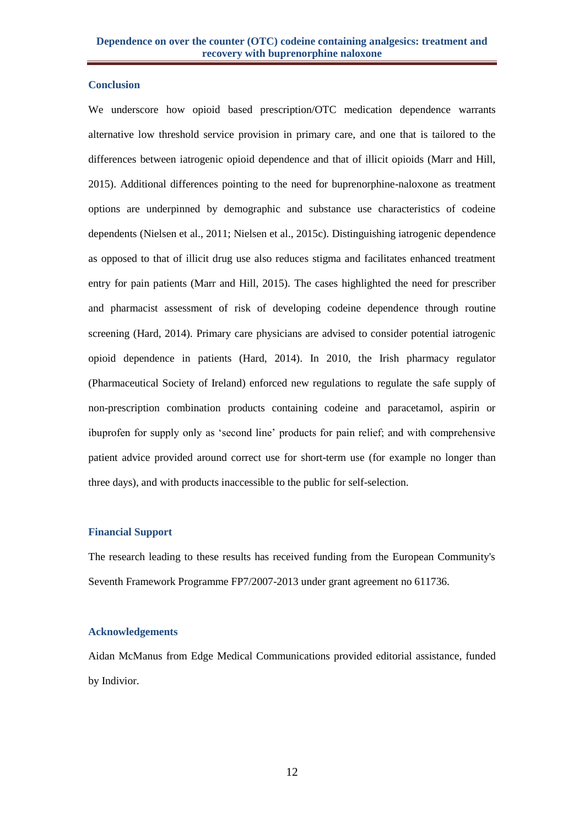#### **Conclusion**

We underscore how opioid based prescription/OTC medication dependence warrants alternative low threshold service provision in primary care, and one that is tailored to the differences between iatrogenic opioid dependence and that of illicit opioids (Marr and Hill, 2015). Additional differences pointing to the need for buprenorphine-naloxone as treatment options are underpinned by demographic and substance use characteristics of codeine dependents (Nielsen et al., 2011; Nielsen et al., 2015c). Distinguishing iatrogenic dependence as opposed to that of illicit drug use also reduces stigma and facilitates enhanced treatment entry for pain patients (Marr and Hill, 2015). The cases highlighted the need for prescriber and pharmacist assessment of risk of developing codeine dependence through routine screening (Hard, 2014). Primary care physicians are advised to consider potential iatrogenic opioid dependence in patients (Hard, 2014). In 2010, the Irish pharmacy regulator (Pharmaceutical Society of Ireland) enforced new regulations to regulate the safe supply of non-prescription combination products containing codeine and paracetamol, aspirin or ibuprofen for supply only as 'second line' products for pain relief; and with comprehensive patient advice provided around correct use for short-term use (for example no longer than three days), and with products inaccessible to the public for self-selection.

# **Financial Support**

The research leading to these results has received funding from the European Community's Seventh Framework Programme FP7/2007-2013 under grant agreement no 611736.

#### **Acknowledgements**

Aidan McManus from Edge Medical Communications provided editorial assistance, funded by Indivior.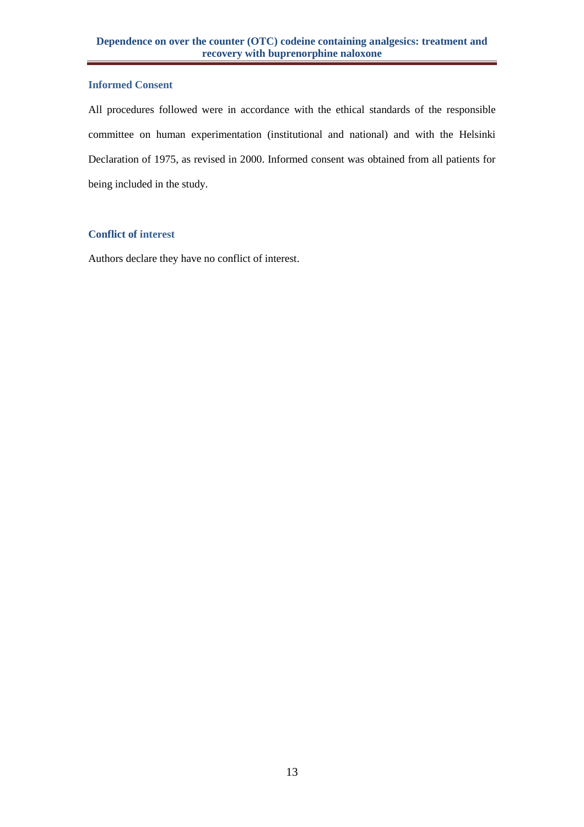# **Informed Consent**

All procedures followed were in accordance with the ethical standards of the responsible committee on human experimentation (institutional and national) and with the Helsinki Declaration of 1975, as revised in 2000. Informed consent was obtained from all patients for being included in the study.

# **Conflict of interest**

Authors declare they have no conflict of interest.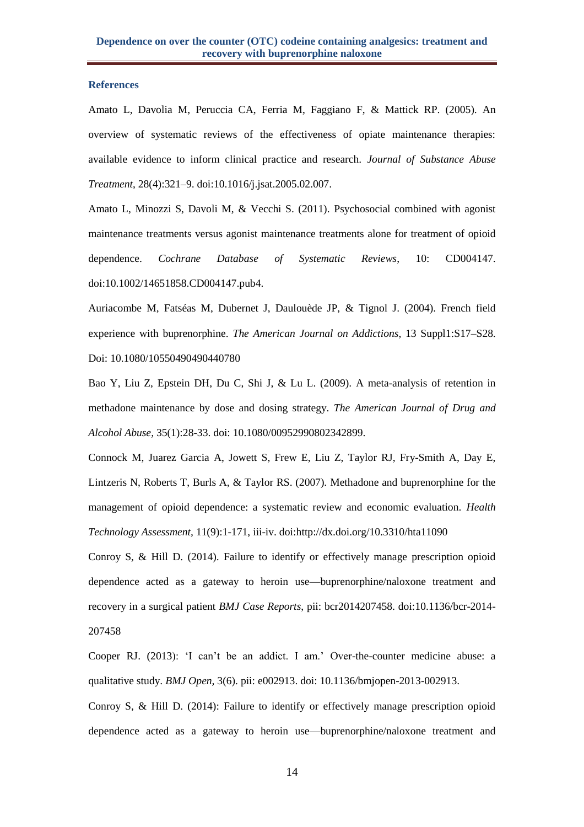#### **References**

Amato L, Davolia M, Peruccia CA, Ferria M, Faggiano F, & Mattick RP. (2005). An overview of systematic reviews of the effectiveness of opiate maintenance therapies: available evidence to inform clinical practice and research. *Journal of Substance Abuse Treatment*, 28(4):321–9. doi:10.1016/j.jsat.2005.02.007.

Amato L, Minozzi S, Davoli M, & Vecchi S. (2011). Psychosocial combined with agonist maintenance treatments versus agonist maintenance treatments alone for treatment of opioid dependence. *Cochrane Database of Systematic Reviews*, 10: CD004147. doi:10.1002/14651858.CD004147.pub4.

Auriacombe M, Fatséas M, Dubernet J, Daulouède JP, & Tignol J. (2004). French field experience with buprenorphine. *The American Journal on Addictions*, 13 Suppl1:S17–S28. Doi: 10.1080/10550490490440780

Bao Y, Liu Z, Epstein DH, Du C, Shi J, & Lu L. (2009). A meta-analysis of retention in methadone maintenance by dose and dosing strategy. *The American Journal of Drug and Alcohol Abuse,* 35(1):28-33. doi: 10.1080/00952990802342899.

Connock M, Juarez Garcia A, Jowett S, Frew E, Liu Z, Taylor RJ, Fry-Smith A, Day E, Lintzeris N, Roberts T, Burls A, & Taylor RS. (2007). Methadone and buprenorphine for the management of opioid dependence: a systematic review and economic evaluation. *Health Technology Assessment,* 11(9):1-171, iii-iv. doi[:http://dx.doi.org/10.3310/hta11090](http://dx.doi.org/10.3310/hta11090)

Conroy S, & Hill D. (2014). Failure to identify or effectively manage prescription opioid dependence acted as a gateway to heroin use—buprenorphine/naloxone treatment and recovery in a surgical patient *BMJ Case Reports*, pii: bcr2014207458. doi:10.1136/bcr-2014- 207458

Cooper RJ. (2013): 'I can't be an addict. I am.' Over-the-counter medicine abuse: a qualitative study. *BMJ Open,* 3(6). pii: e002913. doi: 10.1136/bmjopen-2013-002913.

Conroy S, & Hill D. (2014): Failure to identify or effectively manage prescription opioid dependence acted as a gateway to heroin use—buprenorphine/naloxone treatment and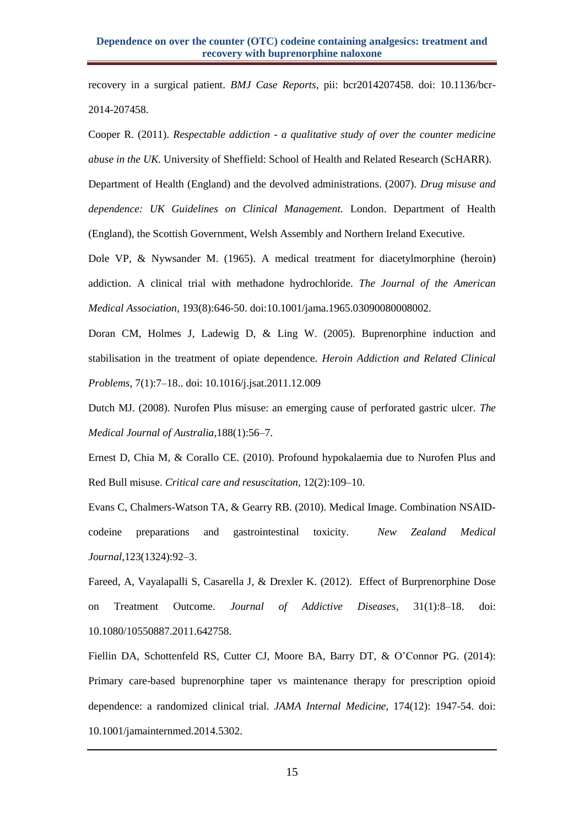recovery in a surgical patient. *BMJ Case Reports*, pii: bcr2014207458. doi: 10.1136/bcr-2014-207458.

Cooper R. (2011). *Respectable addiction - a qualitative study of over the counter medicine abuse in the UK.* University of Sheffield: School of Health and Related Research (ScHARR).

Department of Health (England) and the devolved administrations. (2007). *Drug misuse and dependence: UK Guidelines on Clinical Management.* London. Department of Health (England), the Scottish Government, Welsh Assembly and Northern Ireland Executive.

Dole VP, & Nywsander M. (1965). A medical treatment for diacetylmorphine (heroin) addiction. A clinical trial with methadone hydrochloride. *The Journal of the American Medical Association,* 193(8):646-50. doi:10.1001/jama.1965.03090080008002.

Doran CM, Holmes J, Ladewig D, & Ling W. (2005). Buprenorphine induction and stabilisation in the treatment of opiate dependence. *Heroin Addiction and Related Clinical Problems,* 7(1):7–18.. doi: [10.1016/j.jsat.2011.12.009](http://dx.doi.org/10.1016%2Fj.jsat.2011.12.009)

Dutch MJ. (2008). Nurofen Plus misuse: an emerging cause of perforated gastric ulcer. *The Medical Journal of Australia*,188(1):56–7.

Ernest D, Chia M, & Corallo CE. (2010). Profound hypokalaemia due to Nurofen Plus and Red Bull misuse. *Critical care and resuscitation,* 12(2):109–10.

Evans C, Chalmers-Watson TA, & Gearry RB. (2010). Medical Image. Combination NSAIDcodeine preparations and gastrointestinal toxicity. *New Zealand Medical Journal,*123(1324):92–3.

Fareed, A, Vayalapalli S, Casarella J, & Drexler K. (2012). Effect of Burprenorphine Dose on Treatment Outcome. *Journal of Addictive Diseases*, 31(1):8–18. doi: 10.1080/10550887.2011.642758.

Fiellin DA, Schottenfeld RS, Cutter CJ, Moore BA, Barry DT, & O'Connor PG. (2014): Primary care-based buprenorphine taper vs maintenance therapy for prescription opioid dependence: a randomized clinical trial. *JAMA Internal Medicine*, 174(12): 1947-54. doi: 10.1001/jamainternmed.2014.5302.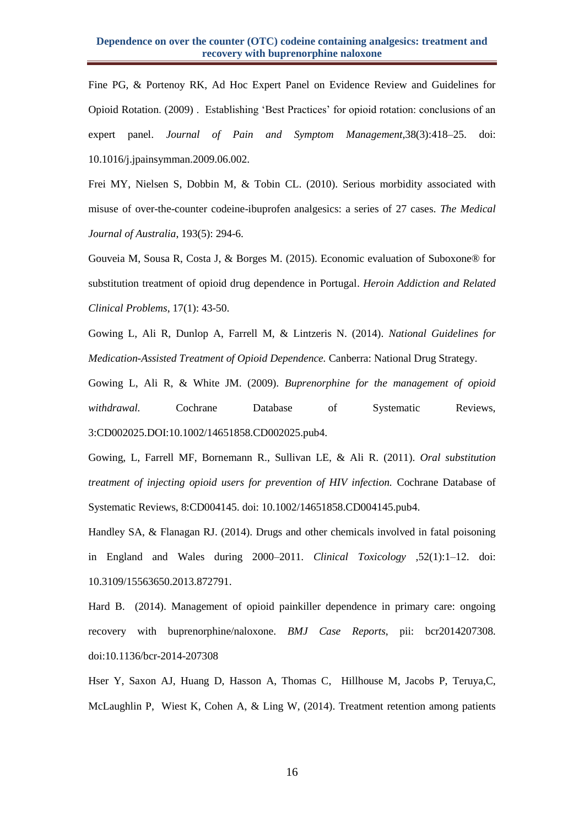Fine PG, & Portenoy RK, [Ad Hoc Expert Panel on Evidence Review and Guidelines for](http://www.ncbi.nlm.nih.gov/pubmed/?term=Ad%20Hoc%20Expert%20Panel%20on%20Evidence%20Review%20and%20Guidelines%20for%20Opioid%20Rotation%5BCorporate%20Author%5D)  [Opioid Rotation](http://www.ncbi.nlm.nih.gov/pubmed/?term=Ad%20Hoc%20Expert%20Panel%20on%20Evidence%20Review%20and%20Guidelines%20for%20Opioid%20Rotation%5BCorporate%20Author%5D). (2009) . Establishing 'Best Practices' for opioid rotation: conclusions of an expert panel. *Journal of Pain and Symptom Management*,38(3):418–25. doi: 10.1016/j.jpainsymman.2009.06.002.

Frei MY, Nielsen S, Dobbin M, & Tobin CL. (2010). Serious morbidity associated with misuse of over-the-counter codeine-ibuprofen analgesics: a series of 27 cases. *The Medical Journal of Australia*, 193(5): 294-6.

Gouveia M, Sousa R, Costa J, & Borges M. (2015). Economic evaluation of Suboxone® for substitution treatment of opioid drug dependence in Portugal. *Heroin Addiction and Related Clinical Problems*, 17(1): 43-50.

Gowing L, Ali R, Dunlop A, Farrell M, & Lintzeris N. (2014). *National Guidelines for Medication-Assisted Treatment of Opioid Dependence.* Canberra: National Drug Strategy.

Gowing L, Ali R, & White JM. (2009). *Buprenorphine for the management of opioid*  withdrawal. Cochrane Database of Systematic Reviews, 3:CD002025.DOI:10.1002/14651858.CD002025.pub4.

Gowing, L, Farrell MF, Bornemann R., Sullivan LE, & Ali R. (2011). *Oral substitution treatment of injecting opioid users for prevention of HIV infection.* Cochrane Database of Systematic Reviews, 8:CD004145. doi: 10.1002/14651858.CD004145.pub4.

Handley SA, & Flanagan RJ. (2014). Drugs and other chemicals involved in fatal poisoning in England and Wales during 2000–2011. *Clinical Toxicology* ,52(1):1–12. doi: 10.3109/15563650.2013.872791.

Hard B. (2014). Management of opioid painkiller dependence in primary care: ongoing recovery with buprenorphine/naloxone. *BMJ Case Reports*, pii: bcr2014207308. doi:10.1136/bcr-2014-207308

Hser Y, Saxon AJ, Huang D, Hasson A, Thomas C, Hillhouse M, Jacobs P, Teruya,C, McLaughlin P, Wiest K, Cohen A, & Ling W, (2014). Treatment retention among patients

16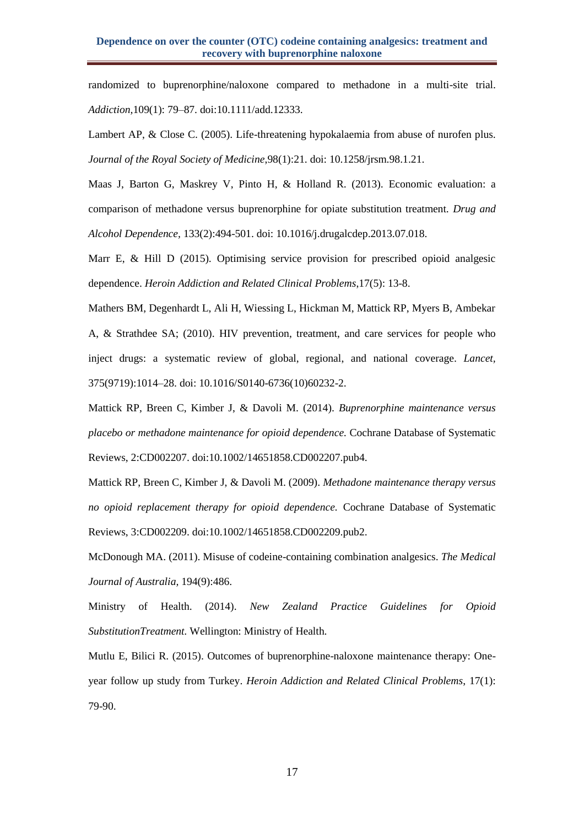randomized to buprenorphine/naloxone compared to methadone in a multi-site trial. *Addiction,*109(1): 79–87. doi:10.1111/add.12333.

Lambert AP, & Close C. (2005). Life-threatening hypokalaemia from abuse of nurofen plus. *Journal of the Royal Society of Medicine*,98(1):21. doi: [10.1258/jrsm.98.1.21.](http://dx.doi.org/10.1258%2Fjrsm.98.1.21)

[Maas J,](http://www.ncbi.nlm.nih.gov/pubmed?term=Maas%20J%5BAuthor%5D&cauthor=true&cauthor_uid=23962419) [Barton G,](http://www.ncbi.nlm.nih.gov/pubmed?term=Barton%20G%5BAuthor%5D&cauthor=true&cauthor_uid=23962419) [Maskrey V,](http://www.ncbi.nlm.nih.gov/pubmed?term=Maskrey%20V%5BAuthor%5D&cauthor=true&cauthor_uid=23962419) [Pinto H,](http://www.ncbi.nlm.nih.gov/pubmed?term=Pinto%20H%5BAuthor%5D&cauthor=true&cauthor_uid=23962419) & [Holland R.](http://www.ncbi.nlm.nih.gov/pubmed?term=Holland%20R%5BAuthor%5D&cauthor=true&cauthor_uid=23962419) (2013). Economic evaluation: a comparison of methadone versus buprenorphine for opiate substitution treatment. *Drug and Alcohol Dependence,* 133(2):494-501. doi: 10.1016/j.drugalcdep.2013.07.018.

Marr E, & Hill D (2015). Optimising service provision for prescribed opioid analgesic dependence. *Heroin Addiction and Related Clinical Problems*,17(5): 13-8.

Mathers BM, Degenhardt L, Ali H, Wiessing L, Hickman M, Mattick RP, Myers B, Ambekar A, & Strathdee SA; (2010). HIV prevention, treatment, and care services for people who inject drugs: a systematic review of global, regional, and national coverage. *Lancet,* 375(9719):1014–28. doi: 10.1016/S0140-6736(10)60232-2.

Mattick RP, Breen C, Kimber J, & Davoli M. (2014). *Buprenorphine maintenance versus placebo or methadone maintenance for opioid dependence.* Cochrane Database of Systematic Reviews, 2:CD002207. doi:10.1002/14651858.CD002207.pub4.

Mattick RP, Breen C, Kimber J, & Davoli M. (2009). *Methadone maintenance therapy versus no opioid replacement therapy for opioid dependence.* Cochrane Database of Systematic Reviews, 3:CD002209. doi:10.1002/14651858.CD002209.pub2.

McDonough MA. (2011). Misuse of codeine-containing combination analgesics. *The Medical Journal of Australia,* 194(9):486.

Ministry of Health. (2014). *New Zealand Practice Guidelines for Opioid SubstitutionTreatment.* Wellington: Ministry of Health.

Mutlu E, Bilici R. (2015). Outcomes of buprenorphine-naloxone maintenance therapy: Oneyear follow up study from Turkey. *Heroin Addiction and Related Clinical Problems*, 17(1): 79-90.

17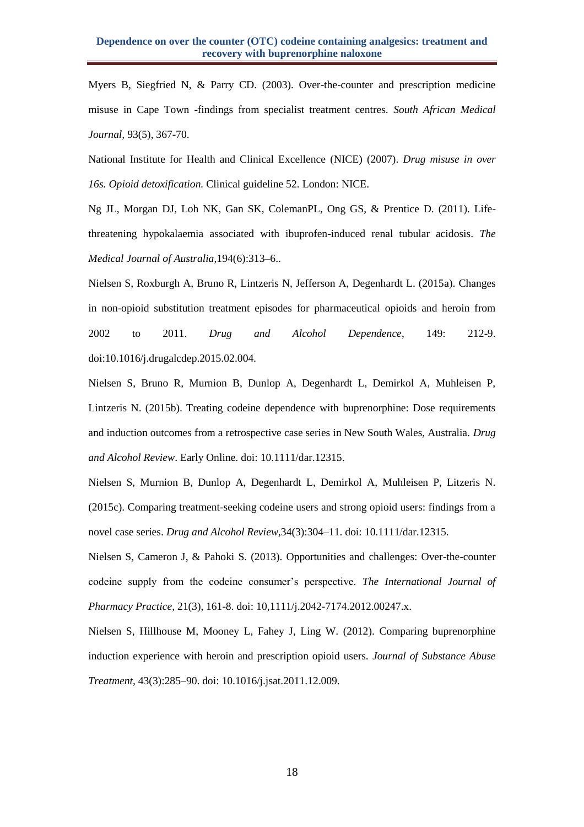Myers B, Siegfried N, & Parry CD. (2003). Over-the-counter and prescription medicine misuse in Cape Town -findings from specialist treatment centres. *South African Medical Journal,* 93(5), 367-70.

National Institute for Health and Clinical Excellence (NICE) (2007). *Drug misuse in over 16s. Opioid detoxification.* Clinical guideline 52. London: NICE.

Ng JL, Morgan DJ, Loh NK, Gan SK, ColemanPL, Ong GS, & Prentice D. (2011). Lifethreatening hypokalaemia associated with ibuprofen-induced renal tubular acidosis. *The Medical Journal of Australia*,194(6):313–6..

Nielsen S, Roxburgh A, Bruno R, Lintzeris N, Jefferson A, Degenhardt L. (2015a). Changes in non-opioid substitution treatment episodes for pharmaceutical opioids and heroin from 2002 to 2011. *Drug and Alcohol Dependence*, 149: 212-9. doi:10.1016/j.drugalcdep.2015.02.004.

Nielsen S, Bruno R, Murnion B, Dunlop A, Degenhardt L, Demirkol A, Muhleisen P, Lintzeris N. (2015b). Treating codeine dependence with buprenorphine: Dose requirements and induction outcomes from a retrospective case series in New South Wales, Australia. *Drug and Alcohol Review*. Early Online. doi: 10.1111/dar.12315.

Nielsen S, Murnion B, Dunlop A, Degenhardt L, Demirkol A, Muhleisen P, Litzeris N. (2015c). Comparing treatment-seeking codeine users and strong opioid users: findings from a novel case series. *Drug and Alcohol Review*,34(3):304–11. doi: 10.1111/dar.12315.

Nielsen S, Cameron J, & Pahoki S. (2013). Opportunities and challenges: Over-the-counter codeine supply from the codeine consumer's perspective. *The International Journal of Pharmacy Practice,* 21(3), 161-8. doi: 10,1111/j.2042-7174.2012.00247.x.

Nielsen S, Hillhouse M, Mooney L, Fahey J, Ling W. (2012). Comparing buprenorphine induction experience with heroin and prescription opioid users. *Journal of Substance Abuse Treatment,* 43(3):285–90. doi: 10.1016/j.jsat.2011.12.009.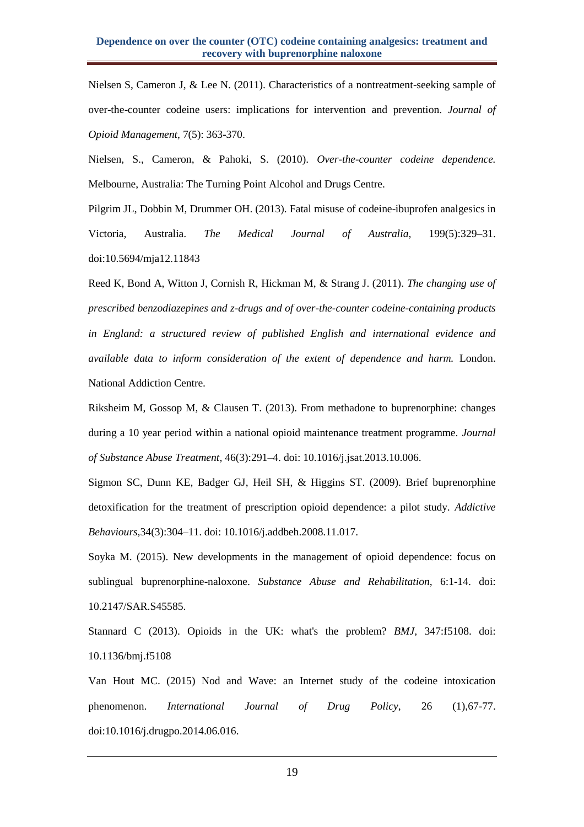Nielsen S, Cameron J, & Lee N. (2011). Characteristics of a nontreatment-seeking sample of over-the-counter codeine users: implications for intervention and prevention. *Journal of Opioid Management*, 7(5): 363-370.

Nielsen, S., Cameron, & Pahoki, S. (2010). *Over-the-counter codeine dependence.*  Melbourne, Australia: The Turning Point Alcohol and Drugs Centre.

Pilgrim JL, Dobbin M, Drummer OH. (2013). Fatal misuse of codeine-ibuprofen analgesics in Victoria, Australia. *The Medical Journal of Australia*, 199(5):329–31. doi:10.5694/mja12.11843

Reed K, Bond A, Witton J, Cornish R, Hickman M, & Strang J. (2011). *The changing use of prescribed benzodiazepines and z-drugs and of over-the-counter codeine-containing products in England: a structured review of published English and international evidence and available data to inform consideration of the extent of dependence and harm.* London. National Addiction Centre.

Riksheim M, Gossop M, & Clausen T. (2013). From methadone to buprenorphine: changes during a 10 year period within a national opioid maintenance treatment programme. *Journal of Substance Abuse Treatment,* 46(3):291–4. doi: 10.1016/j.jsat.2013.10.006.

Sigmon SC, Dunn KE, Badger GJ, Heil SH, & Higgins ST. (2009). Brief buprenorphine detoxification for the treatment of prescription opioid dependence: a pilot study. *Addictive Behaviours,*34(3):304–11. doi: 10.1016/j.addbeh.2008.11.017.

Soyka M. (2015). New developments in the management of opioid dependence: focus on sublingual buprenorphine-naloxone. *Substance Abuse and Rehabilitation,* 6:1-14. doi: 10.2147/SAR.S45585.

Stannard C (2013). Opioids in the UK: what's the problem? *BMJ,* 347:f5108. doi: 10.1136/bmj.f5108

Van Hout MC. (2015) Nod and Wave: an Internet study of the codeine intoxication phenomenon. *International Journal of Drug Policy,* 26 (1),67-77. doi:10.1016/j.drugpo.2014.06.016.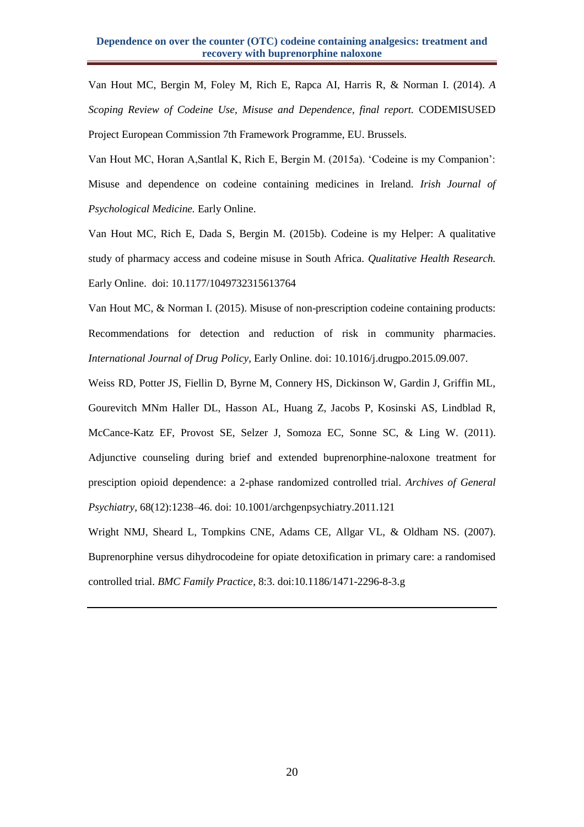Van Hout MC, Bergin M, Foley M, Rich E, Rapca AI, Harris R, & Norman I. (2014). *A Scoping Review of Codeine Use, Misuse and Dependence, final report.* CODEMISUSED Project European Commission 7th Framework Programme, EU. Brussels.

Van Hout MC, Horan A,Santlal K, Rich E, Bergin M. (2015a). 'Codeine is my Companion': Misuse and dependence on codeine containing medicines in Ireland. *Irish Journal of Psychological Medicine.* Early Online.

Van Hout MC, Rich E, Dada S, Bergin M. (2015b). Codeine is my Helper: A qualitative study of pharmacy access and codeine misuse in South Africa. *Qualitative Health Research.* Early Online. doi: 10.1177/1049732315613764

Van Hout MC, & Norman I. (2015). Misuse of non-prescription codeine containing products: Recommendations for detection and reduction of risk in community pharmacies. *International Journal of Drug Policy*, Early Online. doi: 10.1016/j.drugpo.2015.09.007.

Weiss RD, Potter JS, Fiellin D, Byrne M, Connery HS, Dickinson W, Gardin J, Griffin ML, Gourevitch MNm Haller DL, Hasson AL, Huang Z, Jacobs P, Kosinski AS, Lindblad R, McCance-Katz EF, Provost SE, Selzer J, Somoza EC, Sonne SC, & Ling W. (2011). Adjunctive counseling during brief and extended buprenorphine-naloxone treatment for presciption opioid dependence: a 2-phase randomized controlled trial. *Archives of General Psychiatry,* 68(12):1238–46. doi: 10.1001/archgenpsychiatry.2011.121

Wright NMJ, Sheard L, Tompkins CNE, Adams CE, Allgar VL, & Oldham NS. (2007). Buprenorphine versus dihydrocodeine for opiate detoxification in primary care: a randomised controlled trial. *BMC Family Practice*, 8:3. doi:10.1186/1471-2296-8-3.g